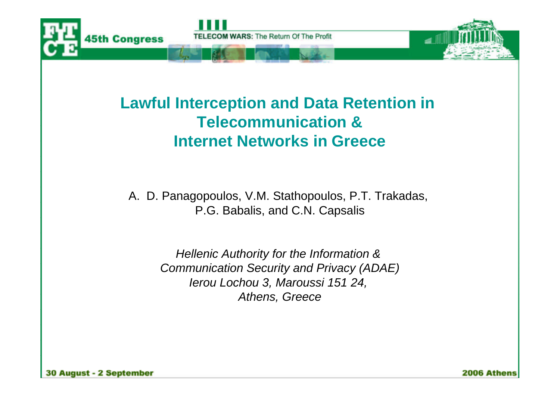

#### **Lawful Interception and Data Retention in Telecommunication & Internet Networks in Greece**

A. D. Panagopoulos, V.M. Stathopoulos, P.T. Trakadas, P.G. Babalis, and C.N. Capsalis

> *Hellenic Authority for the Information & Communication Security and Privacy (ADAE) Ierou Lochou 3, Maroussi 151 24, Athens, Greece*

2006 Athens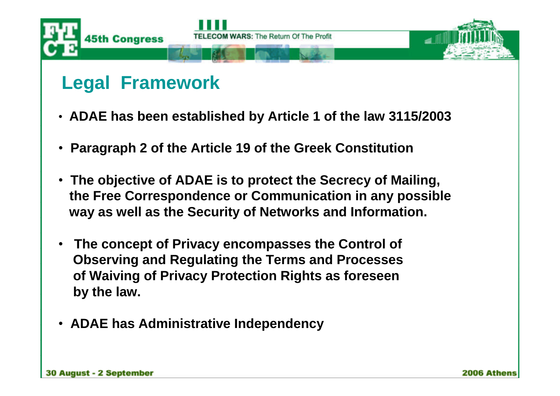

### **Legal Framework**

- •**ADAE has been established by Article 1 of the law 3115/2003**
- •**Paragraph 2 of the Article 19 of the Greek Constitution**
- •**The objective of ADAE is to protect the Secrecy of Mailing, the Free Correspondence or Communication in any possible way as well as the Security of Networks and Information.**
- **The concept of Privacy encompasses the Control of Observing and Regulating the Terms and Processes of Waiving of Privacy Protection Rights as foreseen by the law.**
- •**ADAE has Administrative Independency**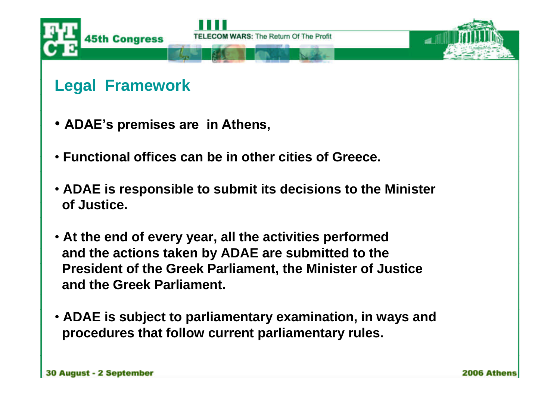

#### **Legal Framework**

- ADAE's premises are in Athens,
- •**Functional offices can be in other cities of Greece.**
- •**ADAE is responsible to submit its decisions to the Minister of Justice.**
- •**At the end of every year, all the activities performed and the actions taken by ADAE are submitted to the President of the Greek Parliament, the Minister of Justice and the Greek Parliament.**
- •**ADAE is subject to parliamentary examination, in ways and procedures that follow current parliamentary rules.**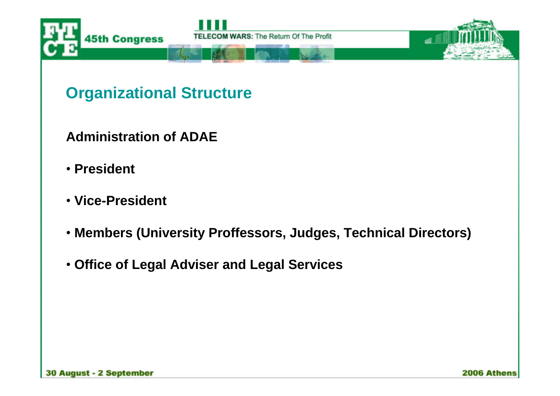

**Organizational Structure**

**Administration of ADAE**

- •**President**
- •**Vice-President**
- •**Members (University Proffessors, Judges, Technical Directors)**
- •**Office of Legal Adviser and Legal Services**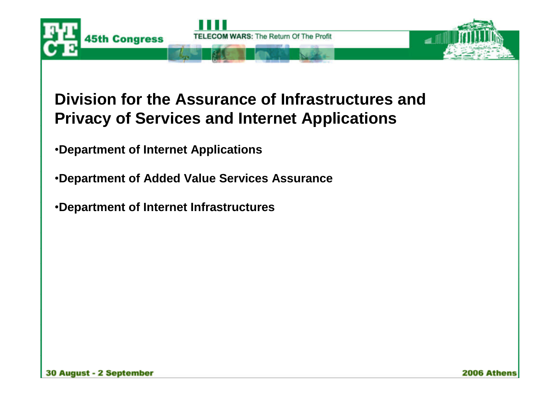

#### **Division for the Assurance of Infrastructures and Privacy of Services and Internet Applications**

- •**Department of Internet Applications**
- •**Department of Added Value Services Assurance**
- •**Department of Internet Infrastructures**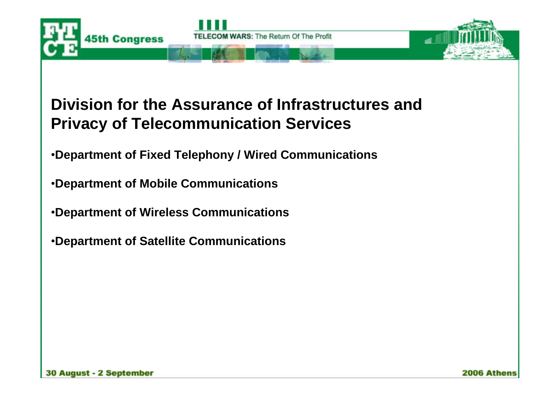

#### **Division for the Assurance of Infrastructures and Privacy of Telecommunication Services**

•**Department of Fixed Telephony / Wired Communications**

•**Department of Mobile Communications**

•**Department of Wireless Communications**

•**Department of Satellite Communications**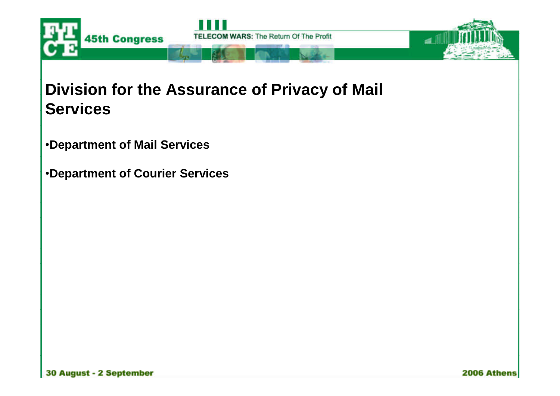

#### **Division for the Assurance of Privacy of Mail Services**

- •**Department of Mail Services**
- •**Department of Courier Services**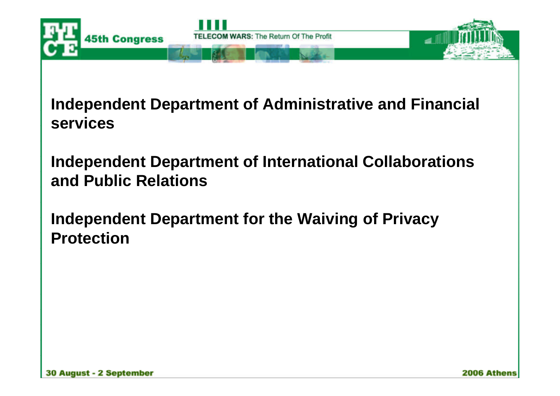

**Independent Department of Administrative and Financial services**

**Independent Department of International Collaborations and Public Relations**

**Independent Department for the Waiving of Privacy Protection**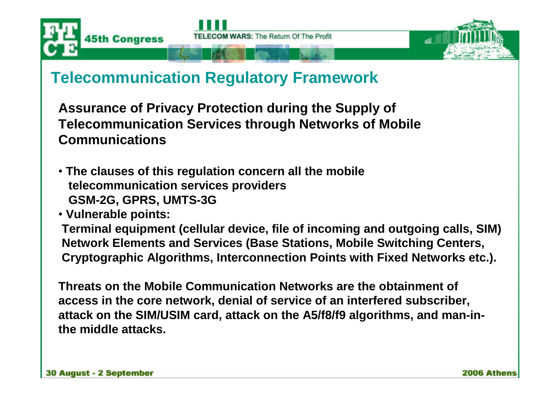



**Assurance of Privacy Protection during the Supply of Telecommunication Services through Networks of Mobile Communications**

- •**The clauses of this regulation concern all the mobile telecommunication services providers GSM-2G, GPRS, UMTS-3G**
- •**Vulnerable points:**

**Terminal equipment (cellular device, file of incoming and outgoing calls, SIM) Network Elements and Services (Base Stations, Mobile Switching Centers, Cryptographic Algorithms, Interconnection Points with Fixed Networks etc.).**

**Threats on the Mobile Communication Networks are the obtainment of access in the core network, denial of service of an interfered subscriber, attack on the SIM/USIM card, attack on the A5/f8/f9 algorithms, and man-inthe middle attacks.**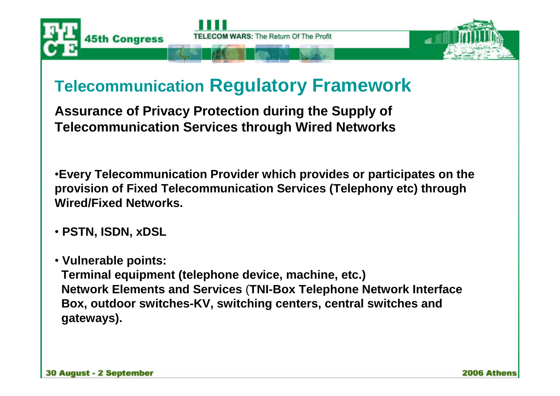



**Assurance of Privacy Protection during the Supply of Telecommunication Services through Wired Networks**

•**Every Telecommunication Provider which provides or participates on the provision of Fixed Telecommunication Services (Telephony etc) through Wired/Fixed Networks.**

- •**PSTN, ISDN, xDSL**
- •**Vulnerable points:**

**Terminal equipment (telephone device, machine, etc.) Network Elements and Services** (**TNI-Box Telephone Network Interface Box, outdoor switches-KV, switching centers, central switches and gateways).**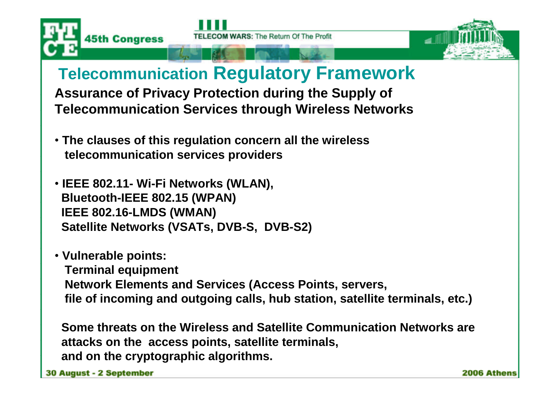



**Assurance of Privacy Protection during the Supply of Telecommunication Services through Wireless Networks**

- •**The clauses of this regulation concern all the wireless telecommunication services providers**
- •**IEEE 802.11- Wi-Fi Networks (WLAN), Bluetooth-IEEE 802.15 (WPAN) IEEE 802.16-LMDS (WMAN) Satellite Networks (VSATs, DVB-S, DVB-S2)**
- •**Vulnerable points: Terminal equipment Network Elements and Services (Access Points, servers, file of incoming and outgoing calls, hub station, satellite terminals, etc.)**

**Some threats on the Wireless and Satellite Communication Networks are attacks on the access points, satellite terminals, and on the cryptographic algorithms.**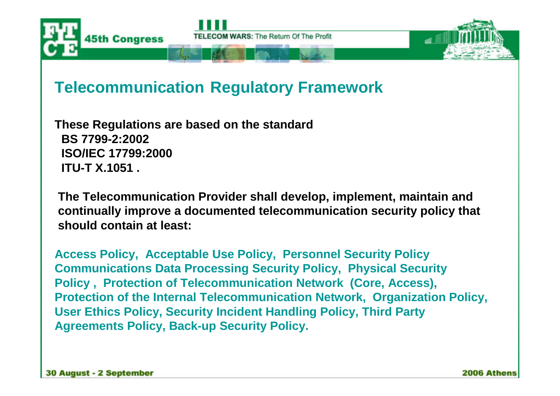

**These Regulations are based on the standard BS 7799-2:2002 ISO/IEC 17799:2000 ITU-T X.1051 .**

**The Telecommunication Provider shall develop, implement, maintain and continually improve a documented telecommunication security policy that should contain at least:**

**Access Policy, Acceptable Use Policy, Personnel Security Policy Communications Data Processing Security Policy, Physical Security Policy , Protection of Telecommunication Network (Core, Access), Protection of the Internal Telecommunication Network, Organization Policy, User Ethics Policy, Security Incident Handling Policy, Third Party Agreements Policy, Back-up Security Policy.**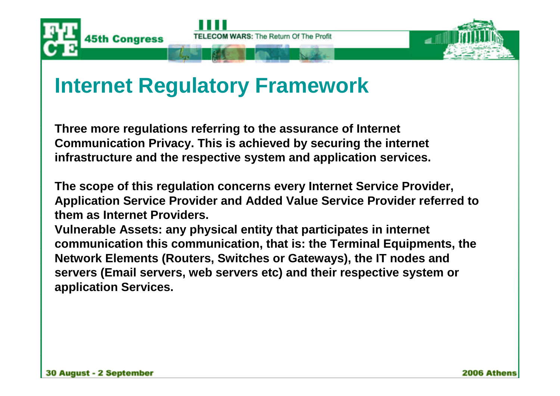



**Three more regulations referring to the assurance of Internet Communication Privacy. This is achieved by securing the internet infrastructure and the respective system and application services.**

**The scope of this regulation concerns every Internet Service Provider, Application Service Provider and Added Value Service Provider referred to them as Internet Providers.**

**Vulnerable Assets: any physical entity that participates in internet communication this communication, that is: the Terminal Equipments, the Network Elements (Routers, Switches or Gateways), the IT nodes and servers (Email servers, web servers etc) and their respective system or application Services.**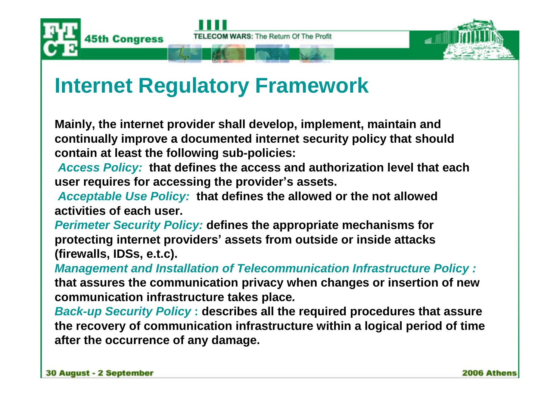



**Mainly, the internet provider shall develop, implement, maintain and continually improve a documented internet security policy that should contain at least the following sub-policies:**

*Access Policy:* **that defines the access and authorization level that each user requires for accessing the provider's assets.**

*Acceptable Use Policy:* **that defines the allowed or the not allowed activities of each user.**

*Perimeter Security Policy:* **defines the appropriate mechanisms for protecting internet providers'assets from outside or inside attacks (firewalls, IDSs, e.t.c).**

*Management and Installation of Telecommunication Infrastructure Policy :* **that assures the communication privacy when changes or insertion of new communication infrastructure takes place***.*

*Back-up Security Policy* **: describes all the required procedures that assure the recovery of communication infrastructure within a logical period of time after the occurrence of any damage.**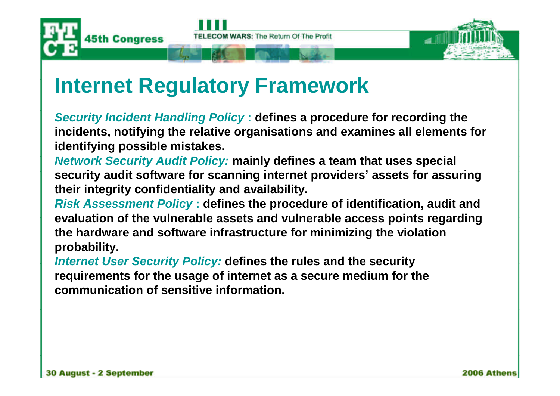



*Security Incident Handling Policy* **: defines a procedure for recording the incidents, notifying the relative organisations and examines all elements for identifying possible mistakes.**

*Network Security Audit Policy:* **mainly defines a team that uses special security audit software for scanning internet providers'assets for assuring their integrity confidentiality and availability.**

*Risk Assessment Policy* **: defines the procedure of identification, audit and evaluation of the vulnerable assets and vulnerable access points regarding the hardware and software infrastructure for minimizing the violation probability.**

*Internet User Security Policy:* **defines the rules and the security requirements for the usage of internet as a secure medium for the communication of sensitive information.**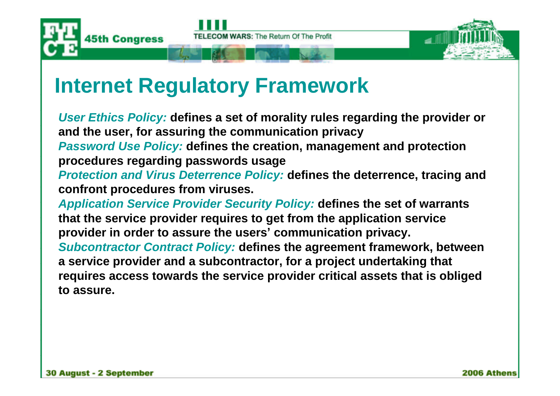



*User Ethics Policy:* **defines a set of morality rules regarding the provider or and the user, for assuring the communication privacy** *Password Use Policy:* **defines the creation, management and protection procedures regarding passwords usage**

*Protection and Virus Deterrence Policy:* **defines the deterrence, tracing and confront procedures from viruses.**

*Application Service Provider Security Policy:* **defines the set of warrants that the service provider requires to get from the application service provider in order to assure the users'communication privacy.** *Subcontractor Contract Policy:* **defines the agreement framework, between a service provider and a subcontractor, for a project undertaking that requires access towards the service provider critical assets that is obliged to assure.**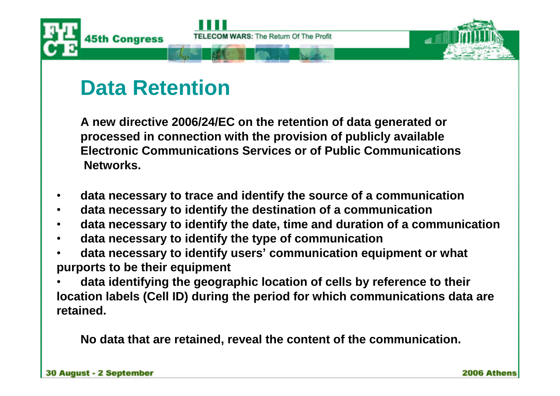

**A new directive 2006/24/EC on the retention of data generated or processed in connection with the provision of publicly available Electronic Communications Services or of Public Communications Networks.**

- **data necessary to trace and identify the source of a communication**
- **data necessary to identify the destination of a communication**
- **data necessary to identify the date, time and duration of a communication**
- **data necessary to identify the type of communication**
- **data necessary to identify users'communication equipment or what purports to be their equipment**
- **data identifying the geographic location of cells by reference to their location labels (Cell ID) during the period for which communications data are retained.**

**No data that are retained, reveal the content of the communication.**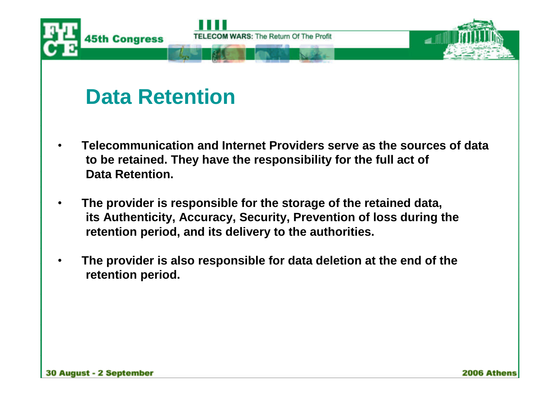

- **Telecommunication and Internet Providers serve as the sources of data to be retained. They have the responsibility for the full act of Data Retention.**
- **The provider is responsible for the storage of the retained data, its Authenticity, Accuracy, Security, Prevention of loss during the retention period, and its delivery to the authorities.**
- **The provider is also responsible for data deletion at the end of the retention period.**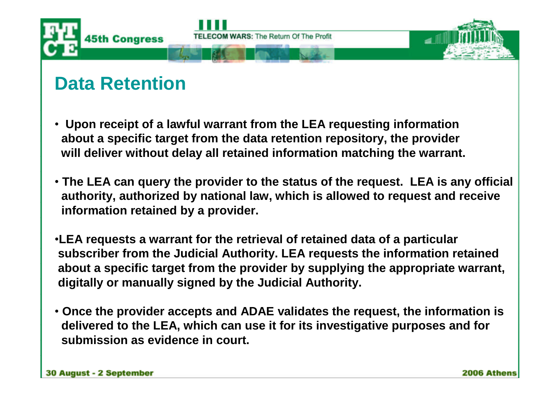

- •**Upon receipt of a lawful warrant from the LEA requesting information about a specific target from the data retention repository, the provider will deliver without delay all retained information matching the warrant.**
- •**The LEA can query the provider to the status of the request. LEA is any official authority, authorized by national law, which is allowed to request and receive information retained by a provider.**
- •**LEA requests a warrant for the retrieval of retained data of a particular subscriber from the Judicial Authority. LEA requests the information retained about a specific target from the provider by supplying the appropriate warrant, digitally or manually signed by the Judicial Authority.**
- •**Once the provider accepts and ADAE validates the request, the information is delivered to the LEA, which can use it for its investigative purposes and for submission as evidence in court.**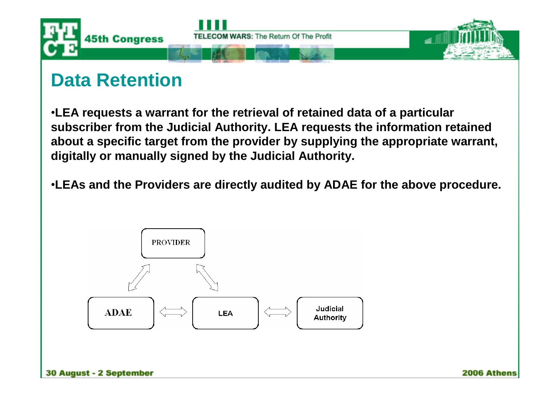

•**LEA requests a warrant for the retrieval of retained data of a particular subscriber from the Judicial Authority. LEA requests the information retained about a specific target from the provider by supplying the appropriate warrant, digitally or manually signed by the Judicial Authority.**

•**LEAs and the Providers are directly audited by ADAE for the above procedure.**

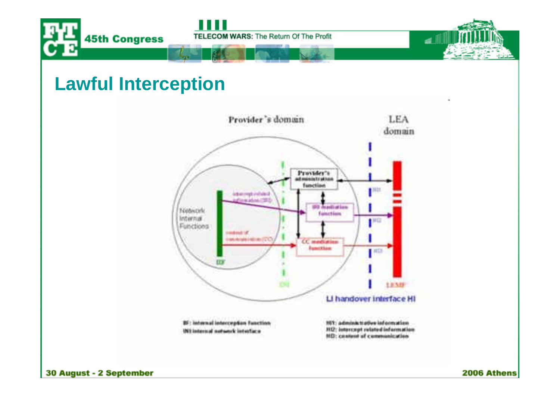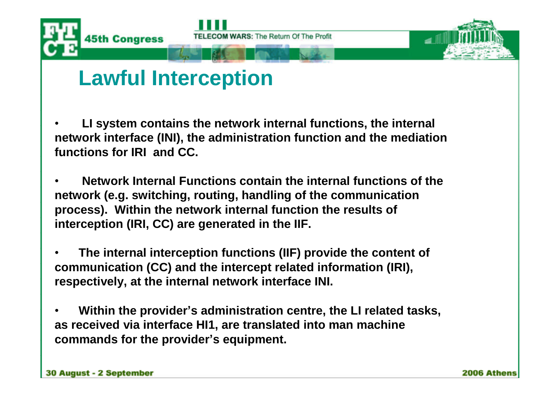

### **Lawful Interception**

• **LI system contains the network internal functions, the internal network interface (INI), the administration function and the mediation functions for IRI and CC.**

• **Network Internal Functions contain the internal functions of the network (e.g. switching, routing, handling of the communication process). Within the network internal function the results of interception (IRI, CC) are generated in the IIF.**

• **The internal interception functions (IIF) provide the content of communication (CC) and the intercept related information (IRI), respectively, at the internal network interface INI.**

• **Within the provider's administration centre, the LI related tasks, as received via interface HI1, are translated into man machine commands for the provider's equipment.**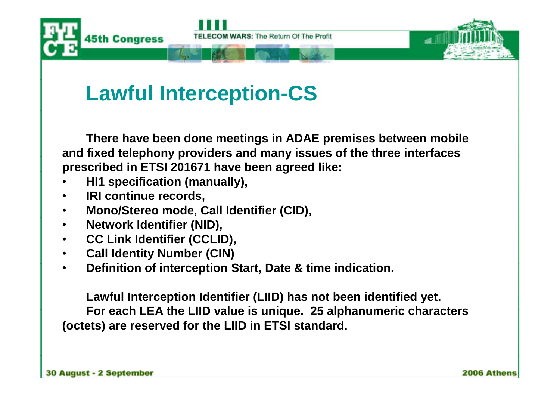

## **Lawful Interception-CS**

**There have been done meetings in ADAE premises between mobile and fixed telephony providers and many issues of the three interfaces prescribed in ETSI 201671 have been agreed like:**

- **HI1 specification (manually),**
- **IRI continue records,**
- **Mono/Stereo mode, Call Identifier (CID),**
- **Network Identifier (NID),**
- **CC Link Identifier (CCLID),**
- **Call Identity Number (CIN)**
- **Definition of interception Start, Date & time indication.**

**Lawful Interception Identifier (LIID) has not been identified yet. For each LEA the LIID value is unique. 25 alphanumeric characters (octets) are reserved for the LIID in ETSI standard.**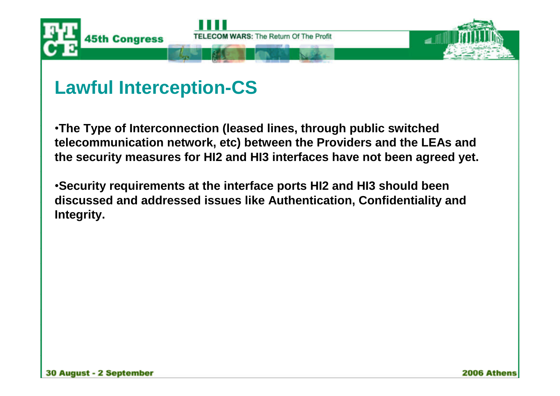

### **Lawful Interception-CS**

•**The Type of Interconnection (leased lines, through public switched telecommunication network, etc) between the Providers and the LEAs and the security measures for HI2 and HI3 interfaces have not been agreed yet.**

•**Security requirements at the interface ports HI2 and HI3 should been discussed and addressed issues like Authentication, Confidentiality and Integrity.**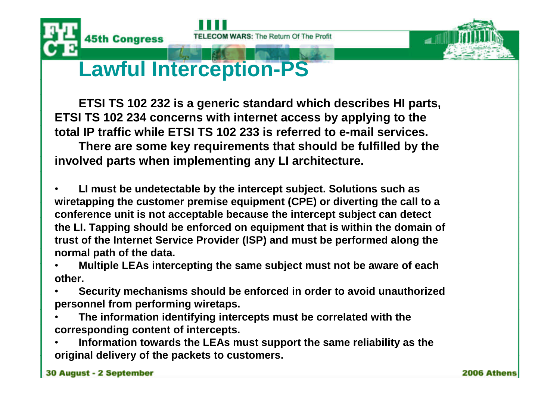



### **Lawful Interception-PS**

**ETSI TS 102 232 is a generic standard which describes HI parts, ETSI TS 102 234 concerns with internet access by applying to the total IP traffic while ETSI TS 102 233 is referred to e-mail services.**

**There are some key requirements that should be fulfilled by the involved parts when implementing any LI architecture.**

• **LI must be undetectable by the intercept subject. Solutions such as wiretapping the customer premise equipment (CPE) or diverting the call to a conference unit is not acceptable because the intercept subject can detect the LI. Tapping should be enforced on equipment that is within the domain of trust of the Internet Service Provider (ISP) and must be performed along the normal path of the data.**

• **Multiple LEAs intercepting the same subject must not be aware of each other.**

- **Security mechanisms should be enforced in order to avoid unauthorized personnel from performing wiretaps.**
- **The information identifying intercepts must be correlated with the corresponding content of intercepts.**
- **Information towards the LEAs must support the same reliability as the original delivery of the packets to customers.**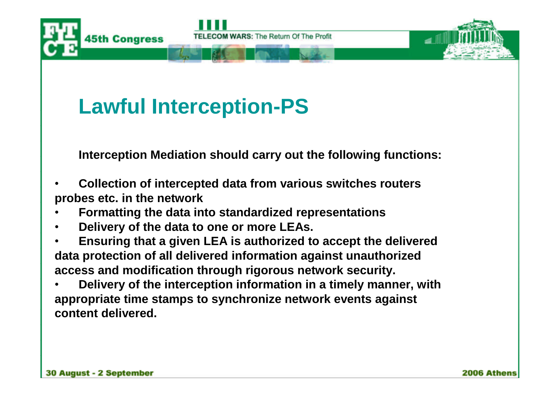

# **Lawful Interception-PS**

**Interception Mediation should carry out the following functions:**

- **Collection of intercepted data from various switches routers probes etc. in the network**
- **Formatting the data into standardized representations**
- **Delivery of the data to one or more LEAs.**
- **Ensuring that a given LEA is authorized to accept the delivered data protection of all delivered information against unauthorized access and modification through rigorous network security.**
- **Delivery of the interception information in a timely manner, with appropriate time stamps to synchronize network events against content delivered.**